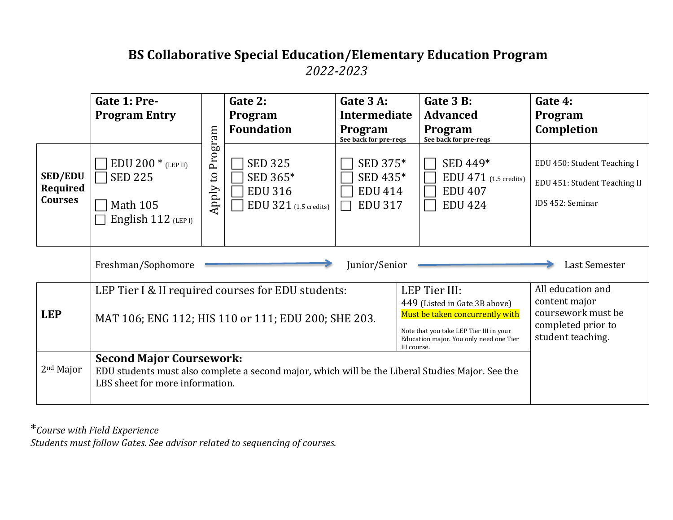#### **BS Collaborative Special Education/Elementary Education Program** *2022-2023*

|                                              | Gate 1: Pre-<br><b>Program Entry</b>                                                                                                                                                                                                                                                                |                                  | Gate 2:<br>Program<br><b>Foundation</b>                               | Gate 3 A:<br>Intermediate<br>Program<br>See back for pre-reqs |  | Gate 3 B:<br><b>Advanced</b><br>Program<br>See back for pre-reqs        | Gate 4:<br>Program<br>Completion                                                                    |
|----------------------------------------------|-----------------------------------------------------------------------------------------------------------------------------------------------------------------------------------------------------------------------------------------------------------------------------------------------------|----------------------------------|-----------------------------------------------------------------------|---------------------------------------------------------------|--|-------------------------------------------------------------------------|-----------------------------------------------------------------------------------------------------|
| <b>SED/EDU</b><br>Required<br><b>Courses</b> | $EDU 200 * (LEP II)$<br><b>SED 225</b><br><b>Math 105</b><br>English 112 (LEP I)                                                                                                                                                                                                                    | Program<br>$\mathbf{c}$<br>Apply | <b>SED 325</b><br>SED 365*<br><b>EDU 316</b><br>EDU 321 (1.5 credits) | SED 375*<br>SED 435*<br><b>EDU 414</b><br><b>EDU 317</b>      |  | SED 449*<br>$EDU$ 471 (1.5 credits)<br><b>EDU 407</b><br><b>EDU 424</b> | EDU 450: Student Teaching I<br>EDU 451: Student Teaching II<br>IDS 452: Seminar                     |
|                                              | Freshman/Sophomore<br>Junior/Senior                                                                                                                                                                                                                                                                 |                                  |                                                                       |                                                               |  |                                                                         | Last Semester                                                                                       |
| <b>LEP</b>                                   | LEP Tier III:<br>LEP Tier I & II required courses for EDU students:<br>449 (Listed in Gate 3B above)<br>Must be taken concurrently with<br>MAT 106; ENG 112; HIS 110 or 111; EDU 200; SHE 203.<br>Note that you take LEP Tier III in your<br>Education major. You only need one Tier<br>III course. |                                  |                                                                       |                                                               |  |                                                                         | All education and<br>content major<br>coursework must be<br>completed prior to<br>student teaching. |
| 2 <sup>nd</sup> Major                        | <b>Second Major Coursework:</b><br>EDU students must also complete a second major, which will be the Liberal Studies Major. See the<br>LBS sheet for more information.                                                                                                                              |                                  |                                                                       |                                                               |  |                                                                         |                                                                                                     |

\**Course with Field Experience*

*Students must follow Gates. See advisor related to sequencing of courses.*